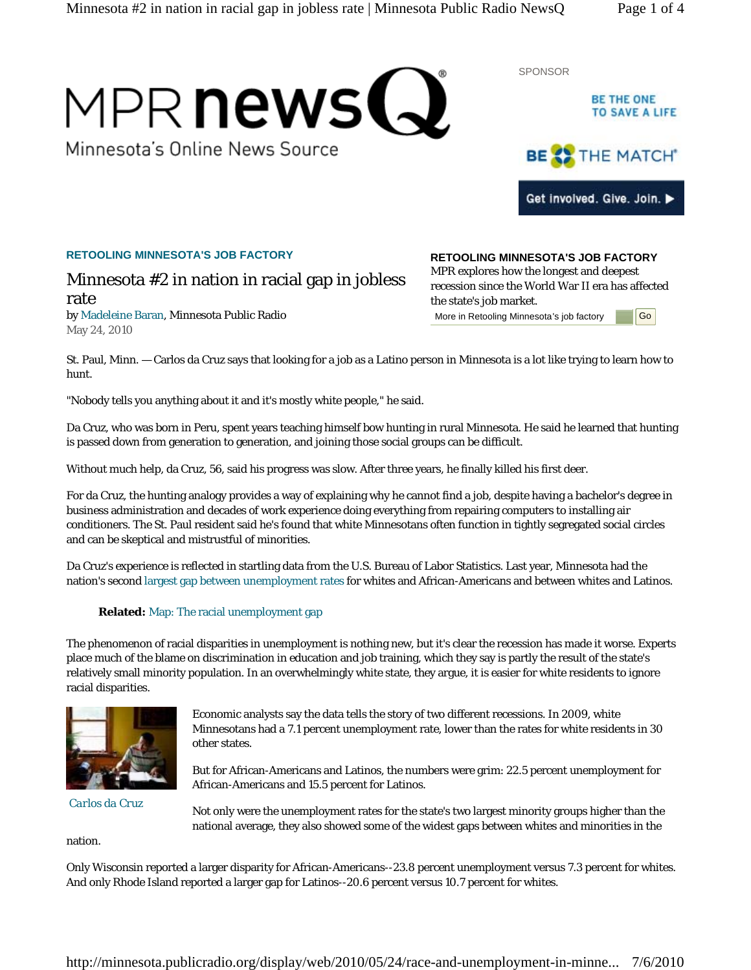# MPR news(J

Minnesota's Online News Source



**BE THE ONE** 

## **RETOOLING MINNESOTA'S JOB FACTORY**

# Minnesota #2 in nation in racial gap in jobless rate

by Madeleine Baran, Minnesota Public Radio May 24, 2010

**RETOOLING MINNESOTA'S JOB FACTORY**  MPR explores how the longest and deepest recession since the World War II era has affected the state's job market. More in Retooling Minnesota's job factory **Go** 

SPONSOR

St. Paul, Minn. — Carlos da Cruz says that looking for a job as a Latino person in Minnesota is a lot like trying to learn how to hunt.

"Nobody tells you anything about it and it's mostly white people," he said.

Da Cruz, who was born in Peru, spent years teaching himself bow hunting in rural Minnesota. He said he learned that hunting is passed down from generation to generation, and joining those social groups can be difficult.

Without much help, da Cruz, 56, said his progress was slow. After three years, he finally killed his first deer.

For da Cruz, the hunting analogy provides a way of explaining why he cannot find a job, despite having a bachelor's degree in business administration and decades of work experience doing everything from repairing computers to installing air conditioners. The St. Paul resident said he's found that white Minnesotans often function in tightly segregated social circles and can be skeptical and mistrustful of minorities.

Da Cruz's experience is reflected in startling data from the U.S. Bureau of Labor Statistics. Last year, Minnesota had the nation's second largest gap between unemployment rates for whites and African-Americans and between whites and Latinos.

## **Related:** Map: The racial unemployment gap

The phenomenon of racial disparities in unemployment is nothing new, but it's clear the recession has made it worse. Experts place much of the blame on discrimination in education and job training, which they say is partly the result of the state's relatively small minority population. In an overwhelmingly white state, they argue, it is easier for white residents to ignore racial disparities.



*Carlos da Cruz*

Economic analysts say the data tells the story of two different recessions. In 2009, white Minnesotans had a 7.1 percent unemployment rate, lower than the rates for white residents in 30 other states.

But for African-Americans and Latinos, the numbers were grim: 22.5 percent unemployment for African-Americans and 15.5 percent for Latinos.

Not only were the unemployment rates for the state's two largest minority groups higher than the national average, they also showed some of the widest gaps between whites and minorities in the

nation.

Only Wisconsin reported a larger disparity for African-Americans--23.8 percent unemployment versus 7.3 percent for whites. And only Rhode Island reported a larger gap for Latinos--20.6 percent versus 10.7 percent for whites.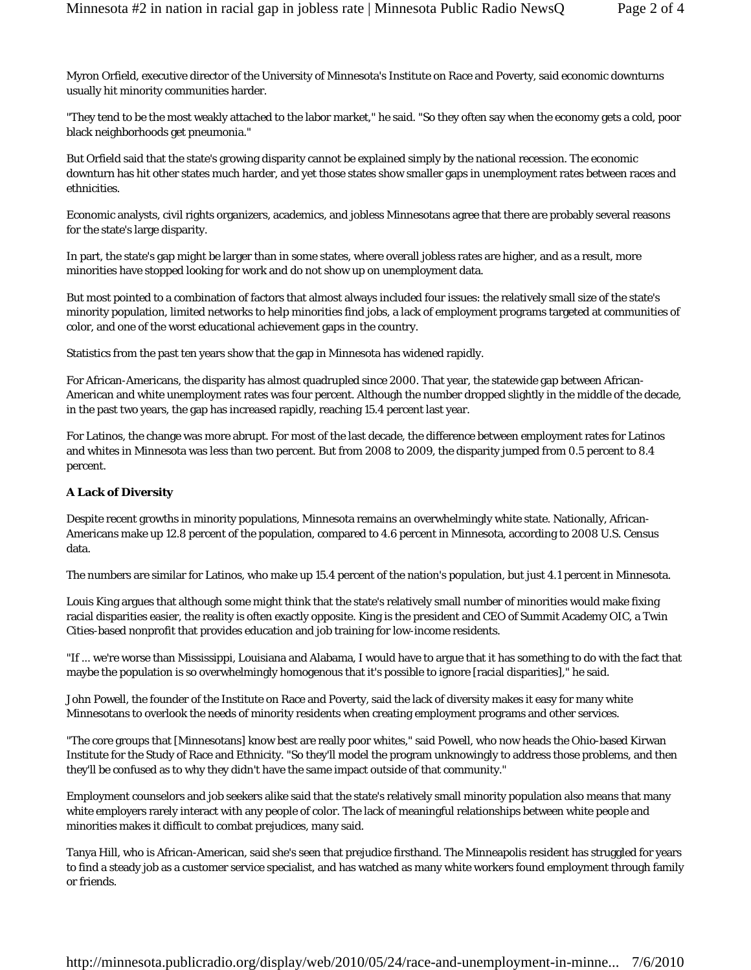Myron Orfield, executive director of the University of Minnesota's Institute on Race and Poverty, said economic downturns usually hit minority communities harder.

"They tend to be the most weakly attached to the labor market," he said. "So they often say when the economy gets a cold, poor black neighborhoods get pneumonia."

But Orfield said that the state's growing disparity cannot be explained simply by the national recession. The economic downturn has hit other states much harder, and yet those states show smaller gaps in unemployment rates between races and ethnicities.

Economic analysts, civil rights organizers, academics, and jobless Minnesotans agree that there are probably several reasons for the state's large disparity.

In part, the state's gap might be larger than in some states, where overall jobless rates are higher, and as a result, more minorities have stopped looking for work and do not show up on unemployment data.

But most pointed to a combination of factors that almost always included four issues: the relatively small size of the state's minority population, limited networks to help minorities find jobs, a lack of employment programs targeted at communities of color, and one of the worst educational achievement gaps in the country.

Statistics from the past ten years show that the gap in Minnesota has widened rapidly.

For African-Americans, the disparity has almost quadrupled since 2000. That year, the statewide gap between African-American and white unemployment rates was four percent. Although the number dropped slightly in the middle of the decade, in the past two years, the gap has increased rapidly, reaching 15.4 percent last year.

For Latinos, the change was more abrupt. For most of the last decade, the difference between employment rates for Latinos and whites in Minnesota was less than two percent. But from 2008 to 2009, the disparity jumped from 0.5 percent to 8.4 percent.

#### **A Lack of Diversity**

Despite recent growths in minority populations, Minnesota remains an overwhelmingly white state. Nationally, African-Americans make up 12.8 percent of the population, compared to 4.6 percent in Minnesota, according to 2008 U.S. Census data.

The numbers are similar for Latinos, who make up 15.4 percent of the nation's population, but just 4.1 percent in Minnesota.

Louis King argues that although some might think that the state's relatively small number of minorities would make fixing racial disparities easier, the reality is often exactly opposite. King is the president and CEO of Summit Academy OIC, a Twin Cities-based nonprofit that provides education and job training for low-income residents.

"If ... we're worse than Mississippi, Louisiana and Alabama, I would have to argue that it has something to do with the fact that maybe the population is so overwhelmingly homogenous that it's possible to ignore [racial disparities]," he said.

John Powell, the founder of the Institute on Race and Poverty, said the lack of diversity makes it easy for many white Minnesotans to overlook the needs of minority residents when creating employment programs and other services.

"The core groups that [Minnesotans] know best are really poor whites," said Powell, who now heads the Ohio-based Kirwan Institute for the Study of Race and Ethnicity. "So they'll model the program unknowingly to address those problems, and then they'll be confused as to why they didn't have the same impact outside of that community."

Employment counselors and job seekers alike said that the state's relatively small minority population also means that many white employers rarely interact with any people of color. The lack of meaningful relationships between white people and minorities makes it difficult to combat prejudices, many said.

Tanya Hill, who is African-American, said she's seen that prejudice firsthand. The Minneapolis resident has struggled for years to find a steady job as a customer service specialist, and has watched as many white workers found employment through family or friends.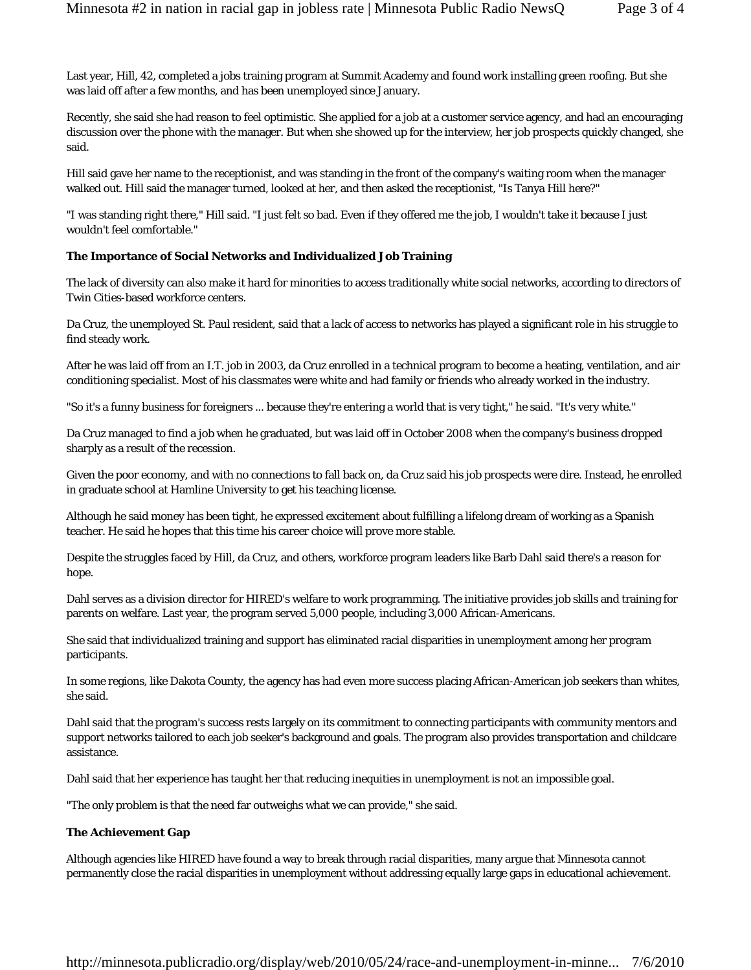Last year, Hill, 42, completed a jobs training program at Summit Academy and found work installing green roofing. But she was laid off after a few months, and has been unemployed since January.

Recently, she said she had reason to feel optimistic. She applied for a job at a customer service agency, and had an encouraging discussion over the phone with the manager. But when she showed up for the interview, her job prospects quickly changed, she said.

Hill said gave her name to the receptionist, and was standing in the front of the company's waiting room when the manager walked out. Hill said the manager turned, looked at her, and then asked the receptionist, "Is Tanya Hill here?"

"I was standing right there," Hill said. "I just felt so bad. Even if they offered me the job, I wouldn't take it because I just wouldn't feel comfortable."

#### **The Importance of Social Networks and Individualized Job Training**

The lack of diversity can also make it hard for minorities to access traditionally white social networks, according to directors of Twin Cities-based workforce centers.

Da Cruz, the unemployed St. Paul resident, said that a lack of access to networks has played a significant role in his struggle to find steady work.

After he was laid off from an I.T. job in 2003, da Cruz enrolled in a technical program to become a heating, ventilation, and air conditioning specialist. Most of his classmates were white and had family or friends who already worked in the industry.

"So it's a funny business for foreigners ... because they're entering a world that is very tight," he said. "It's very white."

Da Cruz managed to find a job when he graduated, but was laid off in October 2008 when the company's business dropped sharply as a result of the recession.

Given the poor economy, and with no connections to fall back on, da Cruz said his job prospects were dire. Instead, he enrolled in graduate school at Hamline University to get his teaching license.

Although he said money has been tight, he expressed excitement about fulfilling a lifelong dream of working as a Spanish teacher. He said he hopes that this time his career choice will prove more stable.

Despite the struggles faced by Hill, da Cruz, and others, workforce program leaders like Barb Dahl said there's a reason for hope.

Dahl serves as a division director for HIRED's welfare to work programming. The initiative provides job skills and training for parents on welfare. Last year, the program served 5,000 people, including 3,000 African-Americans.

She said that individualized training and support has eliminated racial disparities in unemployment among her program participants.

In some regions, like Dakota County, the agency has had even more success placing African-American job seekers than whites, she said.

Dahl said that the program's success rests largely on its commitment to connecting participants with community mentors and support networks tailored to each job seeker's background and goals. The program also provides transportation and childcare assistance.

Dahl said that her experience has taught her that reducing inequities in unemployment is not an impossible goal.

"The only problem is that the need far outweighs what we can provide," she said.

#### **The Achievement Gap**

Although agencies like HIRED have found a way to break through racial disparities, many argue that Minnesota cannot permanently close the racial disparities in unemployment without addressing equally large gaps in educational achievement.

http://minnesota.publicradio.org/display/web/2010/05/24/race-and-unemployment-in-minne... 7/6/2010